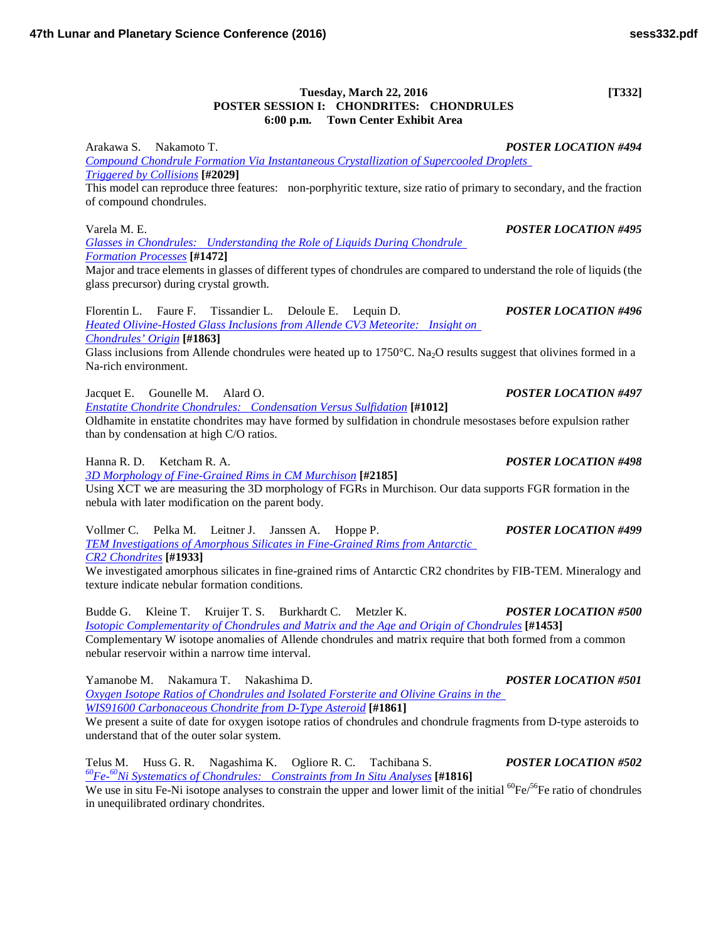## **Tuesday, March 22, 2016 [T332] POSTER SESSION I: CHONDRITES: CHONDRULES 6:00 p.m. Town Center Exhibit Area**

Arakawa S. Nakamoto T. *POSTER LOCATION #494 [Compound Chondrule Formation Via Instantaneous Crystallization of Supercooled Droplets](http://www.hou.usra.edu/meetings/lpsc2016/pdf/2029.pdf)  [Triggered by](http://www.hou.usra.edu/meetings/lpsc2016/pdf/2029.pdf) Collisions* **[#2029]** This model can reproduce three features: non-porphyritic texture, size ratio of primary to secondary, and the fraction

of compound chondrules.

*[Glasses in Chondrules: Understanding the Role of Liquids During Chondrule](http://www.hou.usra.edu/meetings/lpsc2016/pdf/1472.pdf)  [Formation](http://www.hou.usra.edu/meetings/lpsc2016/pdf/1472.pdf) Processes* **[#1472]**

Major and trace elements in glasses of different types of chondrules are compared to understand the role of liquids (the glass precursor) during crystal growth.

Florentin L. Faure F. Tissandier L. Deloule E. Lequin D. *POSTER LOCATION #496 [Heated Olivine-Hosted Glass Inclusions from Allende CV3 Meteorite: Insight on](http://www.hou.usra.edu/meetings/lpsc2016/pdf/1863.pdf)  [Chondrules'](http://www.hou.usra.edu/meetings/lpsc2016/pdf/1863.pdf) Origin* **[#1863]** Glass inclusions from Allende chondrules were heated up to  $1750^{\circ}$ C. Na<sub>2</sub>O results suggest that olivines formed in a Na-rich environment.

Jacquet E. Gounelle M. Alard O. *POSTER LOCATION #497*

*[Enstatite Chondrite Chondrules: Condensation Versus](http://www.hou.usra.edu/meetings/lpsc2016/pdf/1012.pdf) Sulfidation* **[#1012]**

Oldhamite in enstatite chondrites may have formed by sulfidation in chondrule mesostases before expulsion rather than by condensation at high C/O ratios.

Hanna R. D. Ketcham R. A. *POSTER LOCATION #498*

*[3D Morphology of Fine-Grained Rims in CM](http://www.hou.usra.edu/meetings/lpsc2016/pdf/2185.pdf) Murchison* **[#2185]**

Using XCT we are measuring the 3D morphology of FGRs in Murchison. Our data supports FGR formation in the nebula with later modification on the parent body.

Vollmer C. Pelka M. Leitner J. Janssen A. Hoppe P. *POSTER LOCATION #499 [TEM Investigations of Amorphous Silicates in Fine-Grained Rims from Antarctic](http://www.hou.usra.edu/meetings/lpsc2016/pdf/1933.pdf)  CR2 [Chondrites](http://www.hou.usra.edu/meetings/lpsc2016/pdf/1933.pdf)* **[#1933]**

We investigated amorphous silicates in fine-grained rims of Antarctic CR2 chondrites by FIB-TEM. Mineralogy and texture indicate nebular formation conditions.

Budde G. Kleine T. Kruijer T. S. Burkhardt C. Metzler K. *POSTER LOCATION #500 [Isotopic Complementarity of Chondrules and Matrix and the Age and Origin of](http://www.hou.usra.edu/meetings/lpsc2016/pdf/1453.pdf) Chondrules* **[#1453]** Complementary W isotope anomalies of Allende chondrules and matrix require that both formed from a common nebular reservoir within a narrow time interval.

Yamanobe M. Nakamura T. Nakashima D. *POSTER LOCATION #501 [Oxygen Isotope Ratios of Chondrules and Isolated Forsterite and Olivine Grains in the](http://www.hou.usra.edu/meetings/lpsc2016/pdf/1861.pdf)  [WIS91600 Carbonaceous Chondrite from D-Type](http://www.hou.usra.edu/meetings/lpsc2016/pdf/1861.pdf) Asteroid* **[#1861]**

We present a suite of date for oxygen isotope ratios of chondrules and chondrule fragments from D-type asteroids to understand that of the outer solar system.

Telus M. Huss G. R. Nagashima K. Ogliore R. C. Tachibana S. *POSTER LOCATION #502*<br>
<u><sup>60</sup>Fe-<sup>60</sup>Ni Systematics of Chondrules: Constraints from In Situ Analyses</u> [#1816] We use in situ Fe-Ni isotope analyses to constrain the upper and lower limit of the initial  ${}^{60}Fe/{}^{56}Fe$  ratio of chondrules in unequilibrated ordinary chondrites.

Varela M. E. *POSTER LOCATION #495*